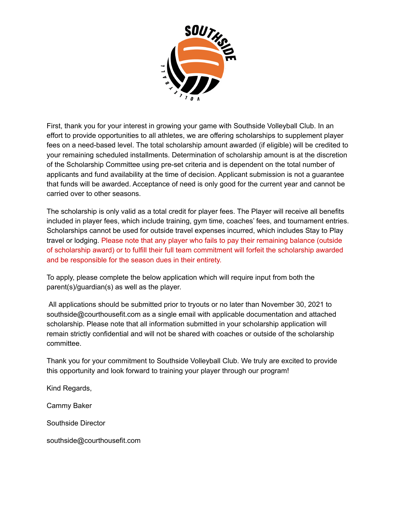

First, thank you for your interest in growing your game with Southside Volleyball Club. In an effort to provide opportunities to all athletes, we are offering scholarships to supplement player fees on a need-based level. The total scholarship amount awarded (if eligible) will be credited to your remaining scheduled installments. Determination of scholarship amount is at the discretion of the Scholarship Committee using pre-set criteria and is dependent on the total number of applicants and fund availability at the time of decision. Applicant submission is not a guarantee that funds will be awarded. Acceptance of need is only good for the current year and cannot be carried over to other seasons.

The scholarship is only valid as a total credit for player fees. The Player will receive all benefits included in player fees, which include training, gym time, coaches' fees, and tournament entries. Scholarships cannot be used for outside travel expenses incurred, which includes Stay to Play travel or lodging. Please note that any player who fails to pay their remaining balance (outside of scholarship award) or to fulfill their full team commitment will forfeit the scholarship awarded and be responsible for the season dues in their entirety.

To apply, please complete the below application which will require input from both the parent(s)/guardian(s) as well as the player.

All applications should be submitted prior to tryouts or no later than November 30, 2021 to southside@courthousefit.com as a single email with applicable documentation and attached scholarship. Please note that all information submitted in your scholarship application will remain strictly confidential and will not be shared with coaches or outside of the scholarship committee.

Thank you for your commitment to Southside Volleyball Club. We truly are excited to provide this opportunity and look forward to training your player through our program!

Kind Regards,

Cammy Baker

Southside Director

southside@courthousefit.com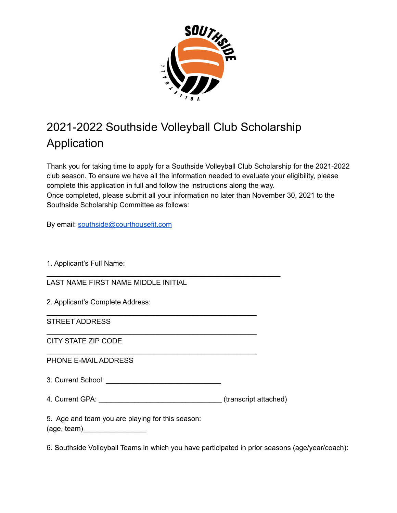

## 2021-2022 Southside Volleyball Club Scholarship Application

Thank you for taking time to apply for a Southside Volleyball Club Scholarship for the 2021-2022 club season. To ensure we have all the information needed to evaluate your eligibility, please complete this application in full and follow the instructions along the way. Once completed, please submit all your information no later than November 30, 2021 to the Southside Scholarship Committee as follows:

By email: [southside@courthousefit.com](mailto:southside@courthousefit.com)

1. Applicant's Full Name:

LAST NAME FIRST NAME MIDDLE INITIAL

2. Applicant's Complete Address:

STREET ADDRESS

CITY STATE ZIP CODE

PHONE E-MAIL ADDRESS

3. Current School: \_\_\_\_\_\_\_\_\_\_\_\_\_\_\_\_\_\_\_\_\_\_\_\_\_\_\_\_\_

4. Current GPA: \_\_\_\_\_\_\_\_\_\_\_\_\_\_\_\_\_\_\_\_\_\_\_\_\_\_\_\_\_\_\_\_\_\_\_(transcript attached)

\_\_\_\_\_\_\_\_\_\_\_\_\_\_\_\_\_\_\_\_\_\_\_\_\_\_\_\_\_\_\_\_\_\_\_\_\_\_\_\_\_\_\_\_\_\_\_\_\_\_\_\_\_\_\_\_\_\_\_

\_\_\_\_\_\_\_\_\_\_\_\_\_\_\_\_\_\_\_\_\_\_\_\_\_\_\_\_\_\_\_\_\_\_\_\_\_\_\_\_\_\_\_\_\_\_\_\_\_\_\_\_\_

\_\_\_\_\_\_\_\_\_\_\_\_\_\_\_\_\_\_\_\_\_\_\_\_\_\_\_\_\_\_\_\_\_\_\_\_\_\_\_\_\_\_\_\_\_\_\_\_\_\_\_\_\_

\_\_\_\_\_\_\_\_\_\_\_\_\_\_\_\_\_\_\_\_\_\_\_\_\_\_\_\_\_\_\_\_\_\_\_\_\_\_\_\_\_\_\_\_\_\_\_\_\_\_\_\_\_

5. Age and team you are playing for this season:  $(aq$ e, team $)$ 

6. Southside Volleyball Teams in which you have participated in prior seasons (age/year/coach):